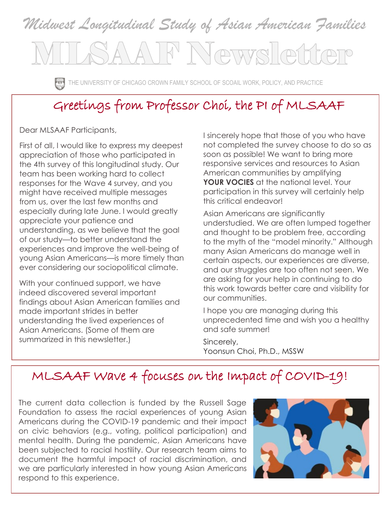# *Midwest Longitudinal Study of Asian American Families* ATF Newsletter

THE UNIVERSITY OF CHICAGO CROWN FAMILY SCHOOL OF SCOAIL WORK, POLICY, AND PRACTICE

### Greetings from Professor Choi, the PI of MLSAAF

Dear MLSAAF Participants,

First of all, I would like to express my deepest appreciation of those who participated in the 4th survey of this longitudinal study. Our team has been working hard to collect responses for the Wave 4 survey, and you might have received multiple messages from us, over the last few months and especially during late June. I would greatly appreciate your patience and understanding, as we believe that the goal of our study—to better understand the experiences and improve the well-being of young Asian Americans—is more timely than ever considering our sociopolitical climate.

With your continued support, we have indeed discovered several important findings about Asian American families and made important strides in better understanding the lived experiences of Asian Americans. (Some of them are summarized in this newsletter.)

I sincerely hope that those of you who have not completed the survey choose to do so as soon as possible! We want to bring more responsive services and resources to Asian American communities by amplifying **YOUR VOCIES** at the national level. Your participation in this survey will certainly help this critical endeavor!

Asian Americans are significantly understudied. We are often lumped together and thought to be problem free, according to the myth of the "model minority." Although many Asian Americans do manage well in certain aspects, our experiences are diverse, and our struggles are too often not seen. We are asking for your help in continuing to do this work towards better care and visibility for our communities.

I hope you are managing during this unprecedented time and wish you a healthy and safe summer!

Sincerely, Yoonsun Choi, Ph.D., MSSW

### MLSAAF Wave 4 focuses on the Impact of COVID-19!

The current data collection is funded by the Russell Sage Foundation to assess the racial experiences of young Asian Americans during the COVID-19 pandemic and their impact on civic behaviors (e.g., voting, political participation) and mental health. During the pandemic, Asian Americans have been subjected to racial hostility. Our research team aims to document the harmful impact of racial discrimination, and we are particularly interested in how young Asian Americans respond to this experience.

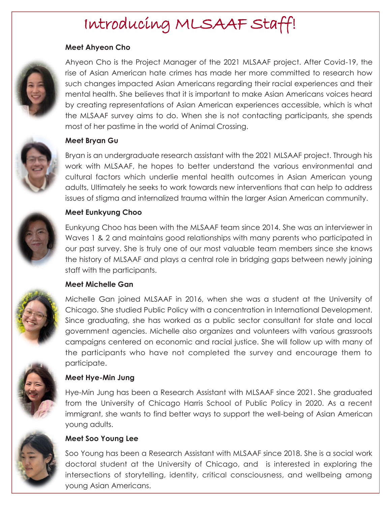## Introducing MLSAAF Staff!

#### **Meet Ahyeon Cho**



Ahyeon Cho is the Project Manager of the 2021 MLSAAF project. After Covid-19, the rise of Asian American hate crimes has made her more committed to research how such changes impacted Asian Americans regarding their racial experiences and their mental health. She believes that it is important to make Asian Americans voices heard by creating representations of Asian American experiences accessible, which is what the MLSAAF survey aims to do. When she is not contacting participants, she spends most of her pastime in the world of Animal Crossing.



#### **Meet Bryan Gu**

Bryan is an undergraduate research assistant with the 2021 MLSAAF project. Through his work with MLSAAF, he hopes to better understand the various environmental and cultural factors which underlie mental health outcomes in Asian American young adults, Ultimately he seeks to work towards new interventions that can help to address issues of stigma and internalized trauma within the larger Asian American community.



#### **Meet Eunkyung Choo**

Eunkyung Choo has been with the MLSAAF team since 2014. She was an interviewer in Waves 1 & 2 and maintains good relationships with many parents who participated in our past survey. She is truly one of our most valuable team members since she knows the history of MLSAAF and plays a central role in bridging gaps between newly joining staff with the participants.

#### **Meet Michelle Gan**



Michelle Gan joined MLSAAF in 2016, when she was a student at the University of Chicago. She studied Public Policy with a concentration in International Development. Since graduating, she has worked as a public sector consultant for state and local government agencies. Michelle also organizes and volunteers with various grassroots campaigns centered on economic and racial justice. She will follow up with many of the participants who have not completed the survey and encourage them to participate.



#### **Meet Hye-Min Jung**

Hye-Min Jung has been a Research Assistant with MLSAAF since 2021. She graduated from the University of Chicago Harris School of Public Policy in 2020. As a recent immigrant, she wants to find better ways to support the well-being of Asian American young adults.



#### **Meet Soo Young Lee**

Soo Young has been a Research Assistant with MLSAAF since 2018. She is a social work doctoral student at the University of Chicago, and is interested in exploring the intersections of storytelling, identity, critical consciousness, and wellbeing among young Asian Americans.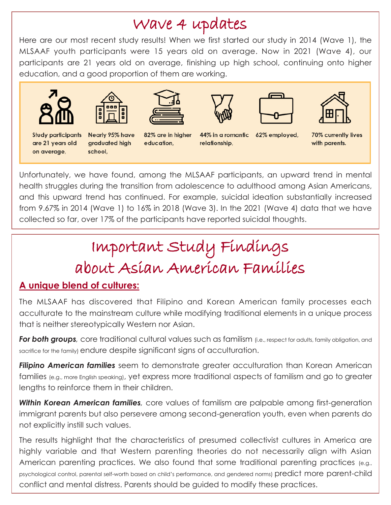### Wave 4 updates

Here are our most recent study results! When we first started our study in 2014 (Wave 1), the MLSAAF youth participants were 15 years old on average. Now in 2021 (Wave 4), our participants are 21 years old on average, finishing up high school, continuing onto higher education, and a good proportion of them are working.







Nearly 95% have graduated high school,



82% are in higher

education,



relationship,







44% in a romantic 62% employed,

70% currently lives with parents.

Unfortunately, we have found, among the MLSAAF participants, an upward trend in mental health struggles during the transition from adolescence to adulthood among Asian Americans, and this upward trend has continued. For example, suicidal ideation substantially increased from 9.67% in 2014 (Wave 1) to 16% in 2018 (Wave 3). In the 2021 (Wave 4) data that we have collected so far, over 17% of the participants have reported suicidal thoughts.

# Important Study Findings about Asian American Families

#### **A unique blend of cultures:**

The MLSAAF has discovered that Filipino and Korean American family processes each acculturate to the mainstream culture while modifying traditional elements in a unique process that is neither stereotypically Western nor Asian.

*For both groups,* core traditional cultural values such as familism (i.e., respect for adults, family obligation, and sacrifice for the family) endure despite significant signs of acculturation.

*Filipino American families* seem to demonstrate greater acculturation than Korean American families (e.g., more English speaking), yet express more traditional aspects of familism and go to greater lengths to reinforce them in their children.

*Within Korean American families,* core values of familism are palpable among first-generation immigrant parents but also persevere among second-generation youth, even when parents do not explicitly instill such values.

The results highlight that the characteristics of presumed collectivist cultures in America are highly variable and that Western parenting theories do not necessarily align with Asian American parenting practices. We also found that some traditional parenting practices (e.g., psychological control, parental self-worth based on child's performance, and gendered norms) predict more parent-child conflict and mental distress. Parents should be guided to modify these practices.